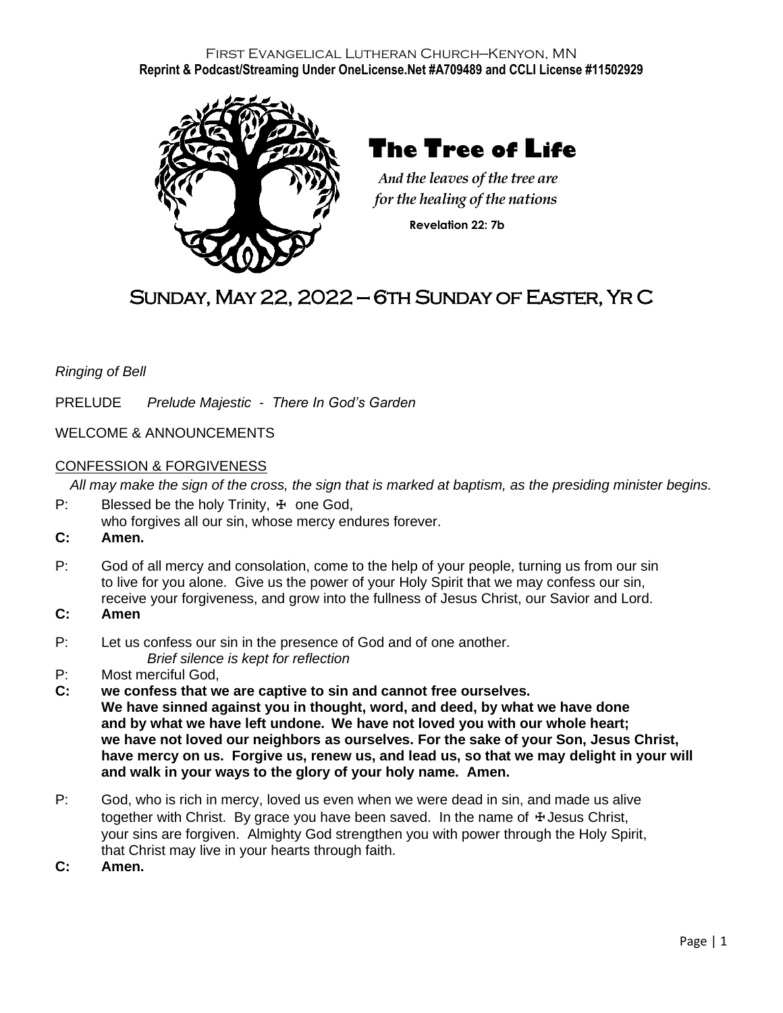### First Evangelical Lutheran Church—Kenyon, MN **Reprint & Podcast/Streaming Under OneLicense.Net #A709489 and CCLI License #11502929**



 **The Tree of Life**

*And the leaves of the tree are*  *for the healing of the nations*  **Revelation 22: 7b**

# Sunday, May 22, 2022 — 6th Sunday of Easter, Yr C

*Ringing of Bell*

PRELUDE *Prelude Majestic - There In God's Garden*

WELCOME & ANNOUNCEMENTS

#### CONFESSION & FORGIVENESS

*All may make the sign of the cross, the sign that is marked at baptism, as the presiding minister begins.*

- P: Blessed be the holy Trinity,  $\pm$  one God, who forgives all our sin, whose mercy endures forever.
- **C: Amen.**
- P: God of all mercy and consolation, come to the help of your people, turning us from our sin to live for you alone. Give us the power of your Holy Spirit that we may confess our sin, receive your forgiveness, and grow into the fullness of Jesus Christ, our Savior and Lord.
- **C: Amen**
- P: Let us confess our sin in the presence of God and of one another. *Brief silence is kept for reflection*
- P: Most merciful God,
- **C: we confess that we are captive to sin and cannot free ourselves. We have sinned against you in thought, word, and deed, by what we have done and by what we have left undone. We have not loved you with our whole heart; we have not loved our neighbors as ourselves. For the sake of your Son, Jesus Christ, have mercy on us. Forgive us, renew us, and lead us, so that we may delight in your will and walk in your ways to the glory of your holy name. Amen.**
- P: God, who is rich in mercy, loved us even when we were dead in sin, and made us alive together with Christ. By grace you have been saved. In the name of  $\pm$  Jesus Christ, your sins are forgiven. Almighty God strengthen you with power through the Holy Spirit, that Christ may live in your hearts through faith.
- **C: Amen.**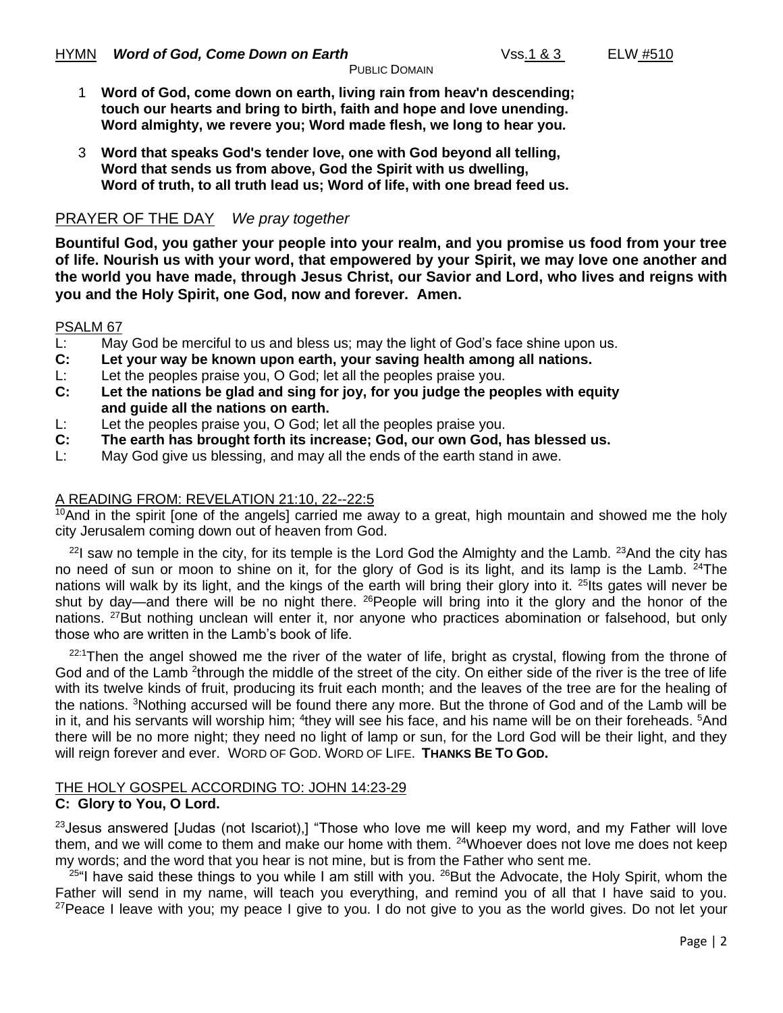- 1 **Word of God, come down on earth, living rain from heav'n descending; touch our hearts and bring to birth, faith and hope and love unending. Word almighty, we revere you; Word made flesh, we long to hear you.**
- 3 **Word that speaks God's tender love, one with God beyond all telling, Word that sends us from above, God the Spirit with us dwelling, Word of truth, to all truth lead us; Word of life, with one bread feed us.**

### PRAYER OF THE DAY*We pray together*

**Bountiful God, you gather your people into your realm, and you promise us food from your tree of life. Nourish us with your word, that empowered by your Spirit, we may love one another and the world you have made, through Jesus Christ, our Savior and Lord, who lives and reigns with you and the Holy Spirit, one God, now and forever. Amen.**

### PSALM 67

- L: May God be merciful to us and bless us; may the light of God's face shine upon us.
- **C: Let your way be known upon earth, your saving health among all nations.**
- L: Let the peoples praise you, O God; let all the peoples praise you.
- **C: Let the nations be glad and sing for joy, for you judge the peoples with equity and guide all the nations on earth.**
- L: Let the peoples praise you, O God; let all the peoples praise you.
- **C: The earth has brought forth its increase; God, our own God, has blessed us.**
- L: May God give us blessing, and may all the ends of the earth stand in awe.

### A READING FROM: REVELATION 21:10, 22--22:5

<sup>10</sup>And in the spirit [one of the angels] carried me away to a great, high mountain and showed me the holy city Jerusalem coming down out of heaven from God.

 $22$ I saw no temple in the city, for its temple is the Lord God the Almighty and the Lamb.  $23$ And the city has no need of sun or moon to shine on it, for the glory of God is its light, and its lamp is the Lamb. <sup>24</sup>The nations will walk by its light, and the kings of the earth will bring their glory into it. <sup>25</sup>Its gates will never be shut by day—and there will be no night there. <sup>26</sup>People will bring into it the glory and the honor of the nations. <sup>27</sup>But nothing unclean will enter it, nor anyone who practices abomination or falsehood, but only those who are written in the Lamb's book of life.

 $22:1$ Then the angel showed me the river of the water of life, bright as crystal, flowing from the throne of God and of the Lamb <sup>2</sup>through the middle of the street of the city. On either side of the river is the tree of life with its twelve kinds of fruit, producing its fruit each month; and the leaves of the tree are for the healing of the nations. <sup>3</sup>Nothing accursed will be found there any more. But the throne of God and of the Lamb will be in it, and his servants will worship him; <sup>4</sup>they will see his face, and his name will be on their foreheads. <sup>5</sup>And there will be no more night; they need no light of lamp or sun, for the Lord God will be their light, and they will reign forever and ever. WORD OF GOD. WORD OF LIFE. **THANKS BE TO GOD.**

#### THE HOLY GOSPEL ACCORDING TO: JOHN 14:23-29 **C: Glory to You, O Lord.**

 $23$  Jesus answered [Judas (not Iscariot),] "Those who love me will keep my word, and my Father will love them, and we will come to them and make our home with them. <sup>24</sup>Whoever does not love me does not keep my words; and the word that you hear is not mine, but is from the Father who sent me.

 $25$ "I have said these things to you while I am still with you.  $26$ But the Advocate, the Holy Spirit, whom the Father will send in my name, will teach you everything, and remind you of all that I have said to you.  $27$ Peace I leave with you; my peace I give to you. I do not give to you as the world gives. Do not let your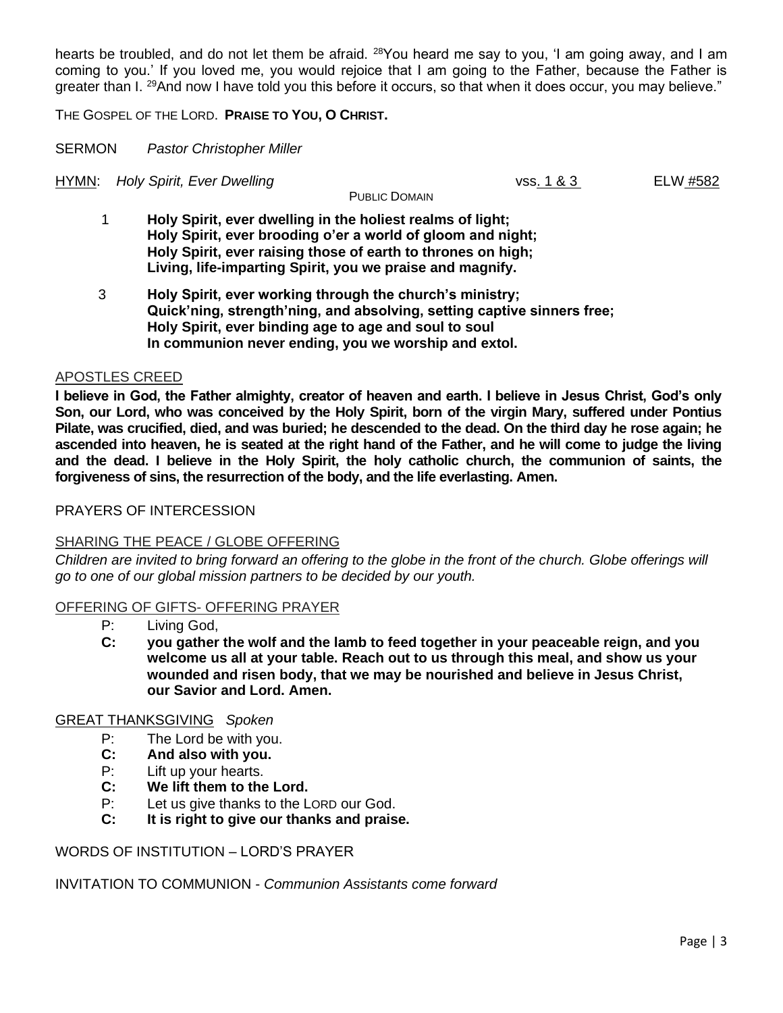hearts be troubled, and do not let them be afraid. <sup>28</sup>You heard me say to you, 'I am going away, and I am coming to you.' If you loved me, you would rejoice that I am going to the Father, because the Father is greater than I. <sup>29</sup>And now I have told you this before it occurs, so that when it does occur, you may believe."

THE GOSPEL OF THE LORD. **PRAISE TO YOU, O CHRIST.**

SERMON *Pastor Christopher Miller*

HYMN: *Holy Spirit, Ever Dwelling* vss. 1 & 3 ELW #582

PUBLIC DOMAIN

- 1 **Holy Spirit, ever dwelling in the holiest realms of light; Holy Spirit, ever brooding o'er a world of gloom and night; Holy Spirit, ever raising those of earth to thrones on high; Living, life-imparting Spirit, you we praise and magnify.**
- 3 **Holy Spirit, ever working through the church's ministry; Quick'ning, strength'ning, and absolving, setting captive sinners free; Holy Spirit, ever binding age to age and soul to soul In communion never ending, you we worship and extol.**

#### APOSTLES CREED

**I believe in God, the Father almighty, creator of heaven and earth. I believe in Jesus Christ, God's only Son, our Lord, who was conceived by the Holy Spirit, born of the virgin Mary, suffered under Pontius Pilate, was crucified, died, and was buried; he descended to the dead. On the third day he rose again; he ascended into heaven, he is seated at the right hand of the Father, and he will come to judge the living and the dead. I believe in the Holy Spirit, the holy catholic church, the communion of saints, the forgiveness of sins, the resurrection of the body, and the life everlasting. Amen.**

### PRAYERS OF INTERCESSION

#### SHARING THE PEACE / GLOBE OFFERING

*Children are invited to bring forward an offering to the globe in the front of the church. Globe offerings will go to one of our global mission partners to be decided by our youth.*

#### OFFERING OF GIFTS- OFFERING PRAYER

- P: Living God,<br>C: vou gather
- **C: you gather the wolf and the lamb to feed together in your peaceable reign, and you welcome us all at your table. Reach out to us through this meal, and show us your wounded and risen body, that we may be nourished and believe in Jesus Christ, our Savior and Lord. Amen.**

### GREAT THANKSGIVING *Spoken*

- P: The Lord be with you.
- **C: And also with you.**
- P: Lift up your hearts.
- **C: We lift them to the Lord.**
- P: Let us give thanks to the LORD our God.
- **C: It is right to give our thanks and praise.**

### WORDS OF INSTITUTION – LORD'S PRAYER

INVITATION TO COMMUNION - *Communion Assistants come forward*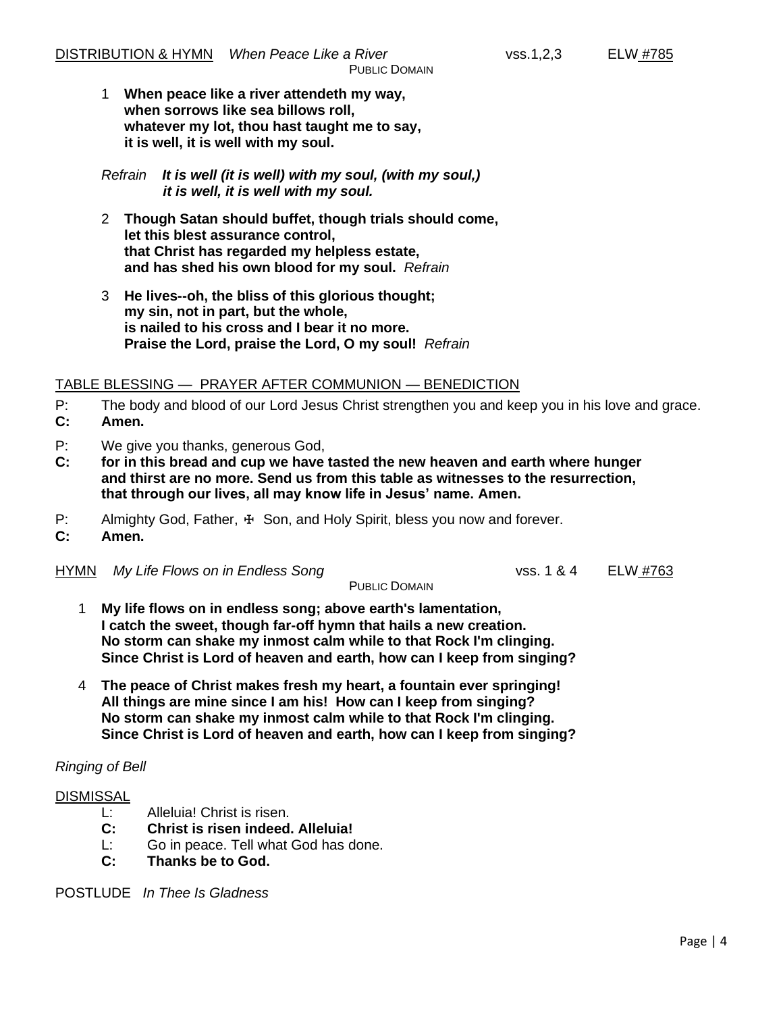1 **When peace like a river attendeth my way, when sorrows like sea billows roll, whatever my lot, thou hast taught me to say, it is well, it is well with my soul.**

*Refrain It is well (it is well) with my soul, (with my soul,) it is well, it is well with my soul.*

- 2 **Though Satan should buffet, though trials should come, let this blest assurance control, that Christ has regarded my helpless estate, and has shed his own blood for my soul.** *Refrain*
- 3 **He lives--oh, the bliss of this glorious thought; my sin, not in part, but the whole, is nailed to his cross and I bear it no more. Praise the Lord, praise the Lord, O my soul!** *Refrain*

### TABLE BLESSING — PRAYER AFTER COMMUNION — BENEDICTION

P: The body and blood of our Lord Jesus Christ strengthen you and keep you in his love and grace.

- **C: Amen.**
- P: We give you thanks, generous God,
- **C: for in this bread and cup we have tasted the new heaven and earth where hunger and thirst are no more. Send us from this table as witnesses to the resurrection, that through our lives, all may know life in Jesus' name. Amen.**
- P: Almighty God, Father, ⊕ Son, and Holy Spirit, bless you now and forever.
- **C: Amen.**
- HYMN *My Life Flows on in Endless Song* vss. 1 & 4 ELW #763

PUBLIC DOMAIN

- 1 **My life flows on in endless song; above earth's lamentation, I catch the sweet, though far-off hymn that hails a new creation. No storm can shake my inmost calm while to that Rock I'm clinging. Since Christ is Lord of heaven and earth, how can I keep from singing?**
- 4 **The peace of Christ makes fresh my heart, a fountain ever springing! All things are mine since I am his! How can I keep from singing? No storm can shake my inmost calm while to that Rock I'm clinging. Since Christ is Lord of heaven and earth, how can I keep from singing?**

### *Ringing of Bell*

### **DISMISSAL**

- L: Alleluia! Christ is risen.
- **C: Christ is risen indeed. Alleluia!**
- L: Go in peace. Tell what God has done.
- **C: Thanks be to God.**

POSTLUDE *In Thee Is Gladness*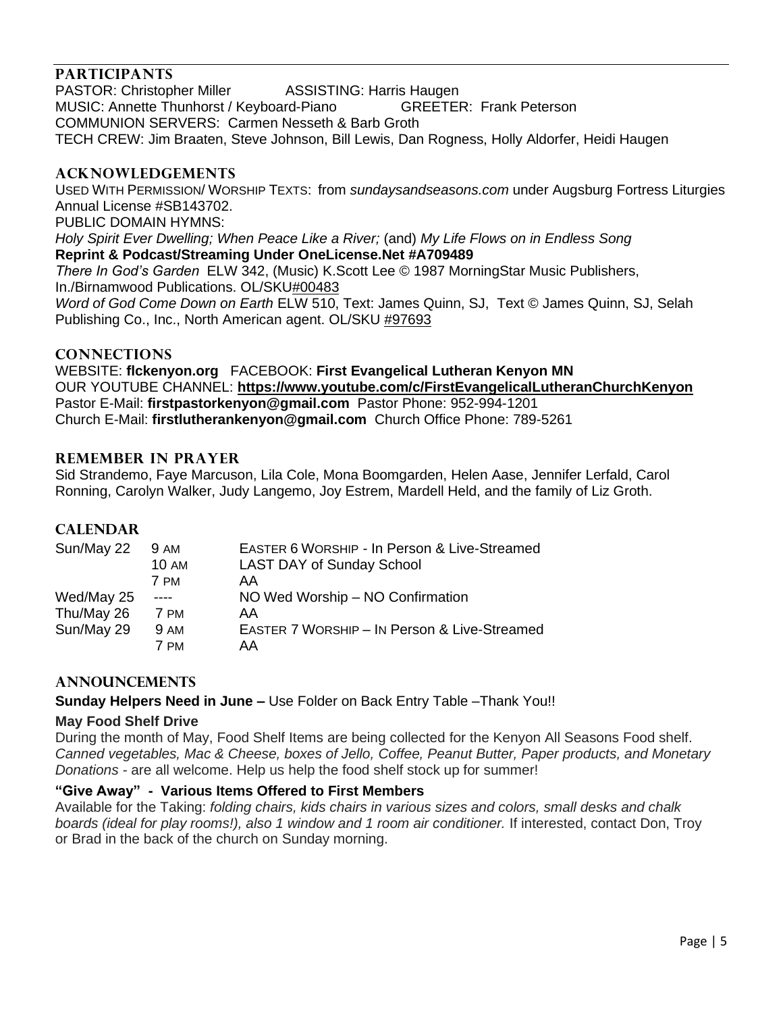### **PARTICIPANTS**

PASTOR: Christopher Miller **ASSISTING: Harris Haugen** MUSIC: Annette Thunhorst / Keyboard-Piano GREETER: Frank Peterson COMMUNION SERVERS: Carmen Nesseth & Barb Groth TECH CREW: Jim Braaten, Steve Johnson, Bill Lewis, Dan Rogness, Holly Aldorfer, Heidi Haugen

### **ACKNOWLEDGEMENTS**

USED WITH PERMISSION/ WORSHIP TEXTS: from *sundaysandseasons.com* under Augsburg Fortress Liturgies Annual License #SB143702.

PUBLIC DOMAIN HYMNS:

*Holy Spirit Ever Dwelling; When Peace Like a River;* (and) *My Life Flows on in Endless Song* **Reprint & Podcast/Streaming Under OneLicense.Net #A709489**

*There In God's Garden* ELW 342, (Music) K.Scott Lee © 1987 MorningStar Music Publishers, In./Birnamwood Publications. OL/SKU#00483 *Word of God Come Down on Earth* ELW 510, Text: James Quinn, SJ, Text © James Quinn, SJ, Selah

Publishing Co., Inc., North American agent. OL/SKU #97693

#### **CONNECTIONS**

WEBSITE: **flckenyon.org** FACEBOOK: **First Evangelical Lutheran Kenyon MN** OUR YOUTUBE CHANNEL: **<https://www.youtube.com/c/FirstEvangelicalLutheranChurchKenyon>** Pastor E-Mail: **[firstpastorkenyon@gmail.com](mailto:firstpastorkenyon@gmail.com)** Pastor Phone: 952-994-1201 Church E-Mail: **[firstlutherankenyon@gmail.com](mailto:firstlutherankenyon@gmail.com)** Church Office Phone: 789-5261

### **REMEMBER IN PRAYER**

Sid Strandemo, Faye Marcuson, Lila Cole, Mona Boomgarden, Helen Aase, Jennifer Lerfald, Carol Ronning, Carolyn Walker, Judy Langemo, Joy Estrem, Mardell Held, and the family of Liz Groth.

### **CALENDAR**

| Sun/May 22 | <b>9 AM</b>  | EASTER 6 WORSHIP - In Person & Live-Streamed |
|------------|--------------|----------------------------------------------|
|            | <b>10 AM</b> | <b>LAST DAY of Sunday School</b>             |
|            | 7 PM         | AA                                           |
| Wed/May 25 | ----         | NO Wed Worship - NO Confirmation             |
| Thu/May 26 | 7 PM         | AA                                           |
| Sun/May 29 | <b>9 AM</b>  | EASTER 7 WORSHIP - IN Person & Live-Streamed |
|            | 7 PM         | AA                                           |

### **ANNOUNCEMENTS**

**Sunday Helpers Need in June –** Use Folder on Back Entry Table –Thank You!!

### **May Food Shelf Drive**

During the month of May, Food Shelf Items are being collected for the Kenyon All Seasons Food shelf. *Canned vegetables, Mac & Cheese, boxes of Jello, Coffee, Peanut Butter, Paper products, and Monetary Donations -* are all welcome. Help us help the food shelf stock up for summer!

### **"Give Away" - Various Items Offered to First Members**

Available for the Taking: *folding chairs, kids chairs in various sizes and colors, small desks and chalk boards (ideal for play rooms!), also 1 window and 1 room air conditioner.* If interested, contact Don, Troy or Brad in the back of the church on Sunday morning.